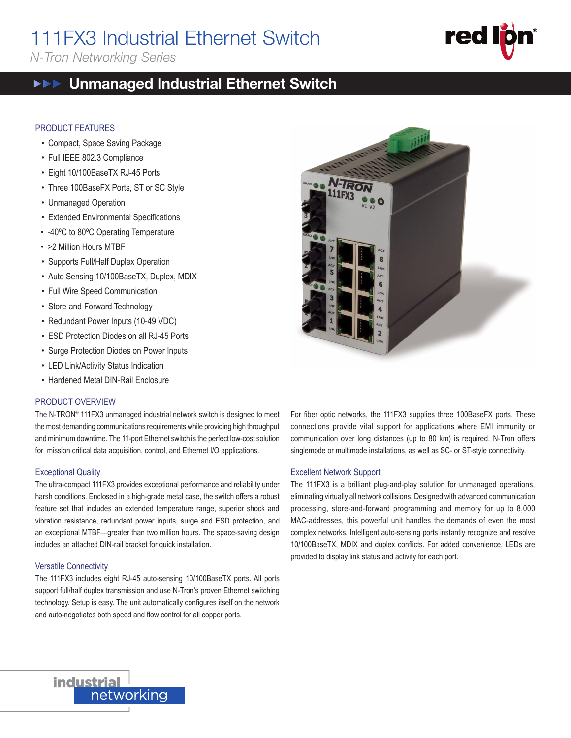# 111FX3 Industrial Ethernet Switch

*N-Tron Networking Series*

# **red**

111FX3

#### Unmanaged Industrial Ethernet Switch  $\blacktriangleright \blacktriangleright \blacktriangleright$

#### PRODUCT FEATURES

- Compact, Space Saving Package
- Full IEEE 802.3 Compliance
- Eight 10/100BaseTX RJ-45 Ports
- Three 100BaseFX Ports, ST or SC Style
- Unmanaged Operation
- Extended Environmental Specifications
- -40ºC to 80ºC Operating Temperature
- >2 Million Hours MTBF
- Supports Full/Half Duplex Operation
- Auto Sensing 10/100BaseTX, Duplex, MDIX
- Full Wire Speed Communication
- Store-and-Forward Technology
- Redundant Power Inputs (10-49 VDC)
- ESD Protection Diodes on all RJ-45 Ports
- Surge Protection Diodes on Power Inputs
- LED Link/Activity Status Indication
- Hardened Metal DIN-Rail Enclosure

#### PRODUCT OVERVIEW

The N-TRON® 111FX3 unmanaged industrial network switch is designed to meet the most demanding communications requirements while providing high throughput and minimum downtime. The 11-port Ethernet switch is the perfect low-cost solution for mission critical data acquisition, control, and Ethernet I/O applications.

#### Exceptional Quality

The ultra-compact 111FX3 provides exceptional performance and reliability under harsh conditions. Enclosed in a high-grade metal case, the switch offers a robust feature set that includes an extended temperature range, superior shock and vibration resistance, redundant power inputs, surge and ESD protection, and an exceptional MTBF—greater than two million hours. The space-saving design includes an attached DIN-rail bracket for quick installation.

#### Versatile Connectivity

The 111FX3 includes eight RJ-45 auto-sensing 10/100BaseTX ports. All ports support full/half duplex transmission and use N-Tron's proven Ethernet switching technology. Setup is easy. The unit automatically configures itself on the network and auto-negotiates both speed and flow control for all copper ports.



For fiber optic networks, the 111FX3 supplies three 100BaseFX ports. These connections provide vital support for applications where EMI immunity or communication over long distances (up to 80 km) is required. N-Tron offers singlemode or multimode installations, as well as SC- or ST-style connectivity.

#### Excellent Network Support

The 111FX3 is a brilliant plug-and-play solution for unmanaged operations, eliminating virtually all network collisions. Designed with advanced communication processing, store-and-forward programming and memory for up to 8,000 MAC-addresses, this powerful unit handles the demands of even the most complex networks. Intelligent auto-sensing ports instantly recognize and resolve 10/100BaseTX, MDIX and duplex conflicts. For added convenience, LEDs are provided to display link status and activity for each port.

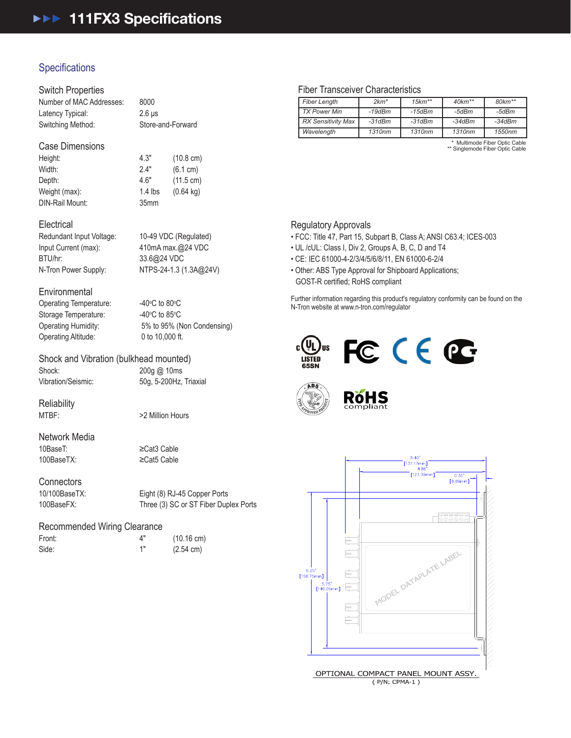# **Specifications**

# Switch Properties

| Number of MAC Addresses: | 8000              |
|--------------------------|-------------------|
| Latency Typical:         | $2.6$ us          |
| Switching Method:        | Store-and-Forward |

## Case Dimensions

Height: 4.3" (10.8 cm)<br>Width: 2.4" (6.1 cm) Width: 2.4" (6.1 cm) Depth: 4.6" (11.5 cm) Weight (max): 1.4 lbs (0.64 kg) DIN-Rail Mount: 35mm

#### **Electrical**

Input Current (max): 410mA max.@24 VDC BTU/hr: 33.6@24 VDC

Redundant Input Voltage: 10-49 VDC (Regulated) N-Tron Power Supply: NTPS-24-1.3 (1.3A@24V)

#### **Environmental**

Operating Temperature: Storage Temperature: Operating Altitude: 0 to 10,000 ft.

C to 80 $\mathrm{^{\circ}C}$ C to 85 $\mathrm{^{\circ}C}$ Operating Humidity: 5% to 95% (Non Condensing)

#### Shock and Vibration (bulkhead mounted)

Shock: 200g @ 10ms

Vibration/Seismic: 50g, 5-200Hz, Triaxial

Reliability<br>MTBF:

>2 Million Hours

# Network Media 10BaseT: ≥Cat3 Cable

100BaseTX: ≥Cat5 Cable

Connectors<br>10/100BaseTX

Eight (8) RJ-45 Copper Ports 100BaseFX: Three (3) SC or ST Fiber Duplex Ports

# Recommended Wiring Clearance

| Front: |  |
|--------|--|
| Side:  |  |

4" (10.16 cm)<br>1" (2.54 cm)  $(2.54 \text{ cm})$ 

### Fiber Transceiver Characteristics

| <b>Fiber Length</b>       | $2km*$       | $15km**$ | $40km**$ | $80 km**$ |
|---------------------------|--------------|----------|----------|-----------|
| <b>TX Power Min</b>       | $-19$ d $Bm$ | -15dBm   | -5dBm    | -5dBm     |
| <b>RX Sensitivity Max</b> | $-31dBm$     | $-31dBm$ | $-34dBm$ | $-34dBm$  |
| Wavelength                | 1310nm       | 1310nm   | 1310nm   | 1550nm    |

\* Multimode Fiber Optic Cable \*\* Singlemode Fiber Optic Cable

### Regulatory Approvals

- FCC: Title 47, Part 15, Subpart B, Class A; ANSI C63.4; ICES-003
- UL /cUL: Class I, Div 2, Groups A, B, C, D and T4
- CE: IEC 61000-4-2/3/4/5/6/8/11, EN 61000-6-2/4
- Other: ABS Type Approval for Shipboard Applications; GOST-R certified; RoHS compliant

Further information regarding this product's regulatory conformity can be found on the N-Tron website at www.n-tron.com/regulator